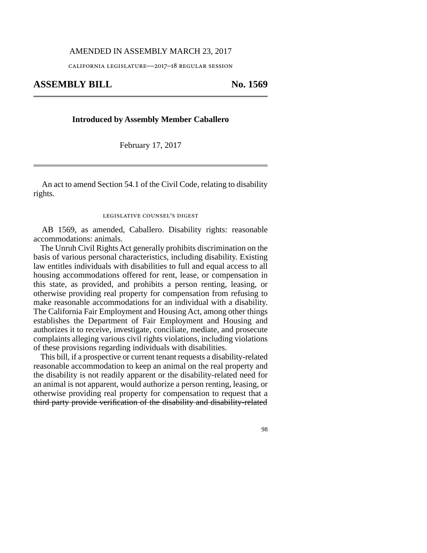### AMENDED IN ASSEMBLY MARCH 23, 2017

california legislature—2017–18 regular session

# ASSEMBLY BILL No. 1569

## **Introduced by Assembly Member Caballero**

February 17, 2017

An act to amend Section 54.1 of the Civil Code, relating to disability rights.

#### legislative counsel's digest

AB 1569, as amended, Caballero. Disability rights: reasonable accommodations: animals.

The Unruh Civil Rights Act generally prohibits discrimination on the basis of various personal characteristics, including disability. Existing law entitles individuals with disabilities to full and equal access to all housing accommodations offered for rent, lease, or compensation in this state, as provided, and prohibits a person renting, leasing, or otherwise providing real property for compensation from refusing to make reasonable accommodations for an individual with a disability. The California Fair Employment and Housing Act, among other things establishes the Department of Fair Employment and Housing and authorizes it to receive, investigate, conciliate, mediate, and prosecute complaints alleging various civil rights violations, including violations of these provisions regarding individuals with disabilities.

This bill, if a prospective or current tenant requests a disability-related reasonable accommodation to keep an animal on the real property and the disability is not readily apparent or the disability-related need for an animal is not apparent, would authorize a person renting, leasing, or otherwise providing real property for compensation to request that a third party provide verification of the disability and disability-related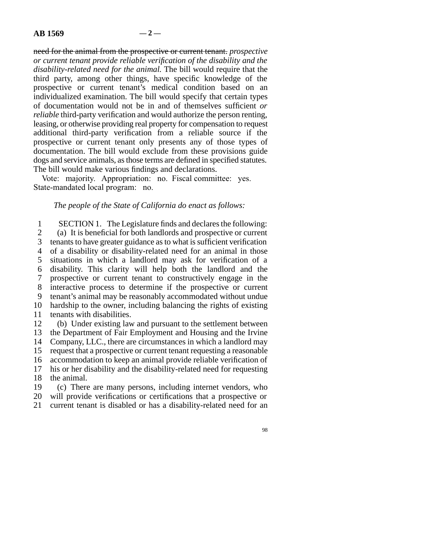need for the animal from the prospective or current tenant. *prospective or current tenant provide reliable verification of the disability and the disability-related need for the animal.* The bill would require that the third party, among other things, have specific knowledge of the prospective or current tenant's medical condition based on an individualized examination. The bill would specify that certain types of documentation would not be in and of themselves sufficient *or reliable* third-party verification and would authorize the person renting, leasing, or otherwise providing real property for compensation to request additional third-party verification from a reliable source if the prospective or current tenant only presents any of those types of documentation. The bill would exclude from these provisions guide dogs and service animals, as those terms are defined in specified statutes. The bill would make various findings and declarations.

Vote: majority. Appropriation: no. Fiscal committee: yes. State-mandated local program: no.

# *The people of the State of California do enact as follows:*

 line 1 SECTION 1. The Legislature finds and declares the following: 2 (a) It is beneficial for both landlords and prospective or current 3 tenants to have greater guidance as to what is sufficient verification 4 of a disability or disability-related need for an animal in those 5 situations in which a landlord may ask for verification of a 6 disability. This clarity will help both the landlord and the line 7 prospective or current tenant to constructively engage in the line 8 interactive process to determine if the prospective or current 9 tenant's animal may be reasonably accommodated without undue 10 hardship to the owner, including balancing the rights of existing 11 tenants with disabilities.

12 (b) Under existing law and pursuant to the settlement between 13 the Department of Fair Employment and Housing and the Irvine 14 Company, LLC., there are circumstances in which a landlord may 15 request that a prospective or current tenant requesting a reasonable 16 accommodation to keep an animal provide reliable verification of 17 his or her disability and the disability-related need for requesting 18 the animal. 19 (c) There are many persons, including internet vendors, who

20 will provide verifications or certifications that a prospective or

21 current tenant is disabled or has a disability-related need for an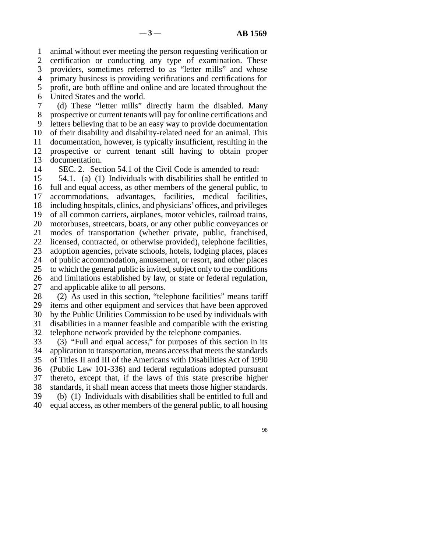line 1 animal without ever meeting the person requesting verification or 2 certification or conducting any type of examination. These<br>3 providers, sometimes referred to as "letter mills" and whose providers, sometimes referred to as "letter mills" and whose line 4 primary business is providing verifications and certifications for 5 profit, are both offline and online and are located throughout the 6 United States and the world.

 line 7 (d) These "letter mills" directly harm the disabled. Many 8 prospective or current tenants will pay for online certifications and 9 letters believing that to be an easy way to provide documentation 10 of their disability and disability-related need for an animal. This 11 documentation, however, is typically insufficient, resulting in the 12 prospective or current tenant still having to obtain proper 13 documentation.

14 SEC. 2. Section 54.1 of the Civil Code is amended to read:

 $15$   $54.1$ . (a) (1) Individuals with disabilities shall be entitled to 16 full and equal access, as other members of the general public, to 17 accommodations, advantages, facilities, medical facilities, 18 including hospitals, clinics, and physicians' offices, and privileges 19 of all common carriers, airplanes, motor vehicles, railroad trains, 20 motorbuses, streetcars, boats, or any other public conveyances or 21 modes of transportation (whether private, public, franchised, 22 licensed, contracted, or otherwise provided), telephone facilities, 23 adoption agencies, private schools, hotels, lodging places, places 24 of public accommodation, amusement, or resort, and other places 25 to which the general public is invited, subject only to the conditions to which the general public is invited, subject only to the conditions 26 and limitations established by law, or state or federal regulation, 27 and applicable alike to all persons.

28 (2) As used in this section, "telephone facilities" means tariff 29 items and other equipment and services that have been approved 30 by the Public Utilities Commission to be used by individuals with 31 disabilities in a manner feasible and compatible with the existing 32 telephone network provided by the telephone companies. 33 (3) "Full and equal access," for purposes of this section in its

34 application to transportation, means access that meets the standards 35 of Titles II and III of the Americans with Disabilities Act of 1990 line 36 (Public Law 101-336) and federal regulations adopted pursuant 37 thereto, except that, if the laws of this state prescribe higher 38 standards, it shall mean access that meets those higher standards.  $\delta$  39 (b) (1) Individuals with disabilities shall be entitled to full and 40 equal access, as other members of the general public, to all housing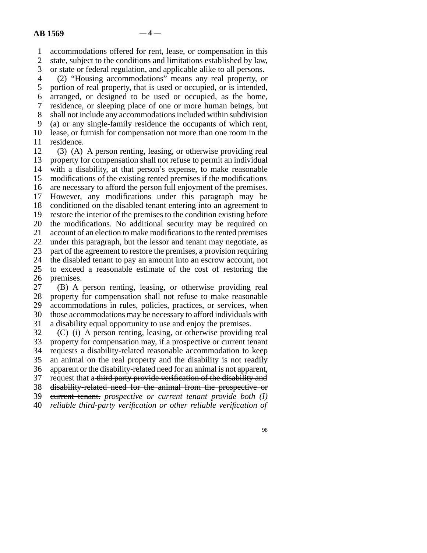1 accommodations offered for rent, lease, or compensation in this 2 state, subject to the conditions and limitations established by law,<br>3 or state or federal regulation, and applicable alike to all persons. or state or federal regulation, and applicable alike to all persons.

 line 4 (2) "Housing accommodations" means any real property, or 5 portion of real property, that is used or occupied, or is intended, 6 arranged, or designed to be used or occupied, as the home, line 7 residence, or sleeping place of one or more human beings, but 8 shall not include any accommodations included within subdivision 9 (a) or any single-family residence the occupants of which rent, 10 lease, or furnish for compensation not more than one room in the 11 residence.

 $12$  (3) (A) A person renting, leasing, or otherwise providing real 13 property for compensation shall not refuse to permit an individual 14 with a disability, at that person's expense, to make reasonable 15 modifications of the existing rented premises if the modifications 16 are necessary to afford the person full enjoyment of the premises. 17 However, any modifications under this paragraph may be 18 conditioned on the disabled tenant entering into an agreement to 19 restore the interior of the premises to the condition existing before 20 the modifications. No additional security may be required on 21 account of an election to make modifications to the rented premises 22 under this paragraph, but the lessor and tenant may negotiate, as 23 part of the agreement to restore the premises, a provision requiring 24 the disabled tenant to pay an amount into an escrow account, not<br>25 to exceed a reasonable estimate of the cost of restoring the to exceed a reasonable estimate of the cost of restoring the 26 premises.

27 (B) A person renting, leasing, or otherwise providing real 28 property for compensation shall not refuse to make reasonable 29 accommodations in rules, policies, practices, or services, when 30 those accommodations may be necessary to afford individuals with 31 a disability equal opportunity to use and enjoy the premises.

32 (C) (i) A person renting, leasing, or otherwise providing real 33 property for compensation may, if a prospective or current tenant 34 requests a disability-related reasonable accommodation to keep 35 an animal on the real property and the disability is not readily 36 apparent or the disability-related need for an animal is not apparent, 37 request that a third party provide verification of the disability and 38 disability-related need for the animal from the prospective or 39 current tenant. *prospective or current tenant provide both* (I) line 40 *reliable third-party verification or other reliable verification of*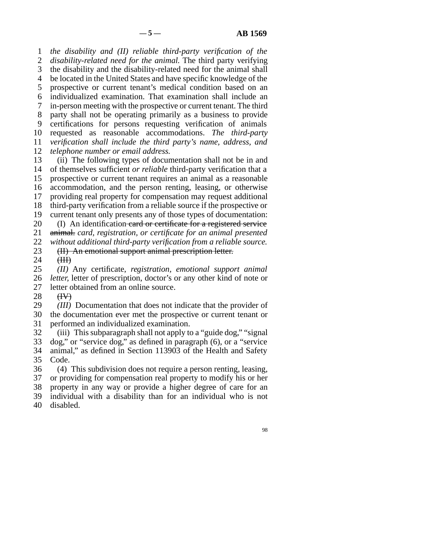line 1 *the disability and (II) reliable third-party verification of the* 2 *disability-related need for the animal*. The third party verifying 3 the disability and the disability-related need for the animal shall 4 be located in the United States and have specific knowledge of the 5 prospective or current tenant's medical condition based on an line 6 individualized examination. That examination shall include an line 7 in-person meeting with the prospective or current tenant. The third 8 party shall not be operating primarily as a business to provide 9 certifications for persons requesting verification of animals 10 requested as reasonable accommodations. *The third-party* 11 *verification shall include the third party's name, address, and* 12 *telephone number or email address.* 

13 (ii) The following types of documentation shall not be in and 14 of themselves sufficient *or reliable* third-party verification that a 15 prospective or current tenant requires an animal as a reasonable 16 accommodation, and the person renting, leasing, or otherwise 17 providing real property for compensation may request additional 18 third-party verification from a reliable source if the prospective or 19 current tenant only presents any of those types of documentation: 20 (I) An identification card or certificate for a registered service 21 animal<sub>ing</sub> card, registration, or certificate for an animal presented

22 *without additional third-party verification from a reliable source.*<br>23 **(H)** An emotional support animal prescription letter.

(II) An emotional support animal prescription letter.

 $\begin{array}{cc} 24 & \text{(\text{HH})} \\ 25 & \text{(II)} \end{array}$  line 25 *(II)* Any certificate, *registration, emotional support animal* 26 *letter*, letter of prescription, doctor's or any other kind of note or 27 letter obtained from an online source.

28  $(HV)$ 

29 *(III)* Documentation that does not indicate that the provider of 30 the documentation ever met the prospective or current tenant or 31 performed an individualized examination.

32 (iii) This subparagraph shall not apply to a "guide dog," "signal" 33 dog," or "service dog," as defined in paragraph (6), or a "service 34 animal," as defined in Section 113903 of the Health and Safety 35 Code.

36 (4) This subdivision does not require a person renting, leasing, 37 or providing for compensation real property to modify his or her 38 property in any way or provide a higher degree of care for an 39 individual with a disability than for an individual who is not 40 disabled.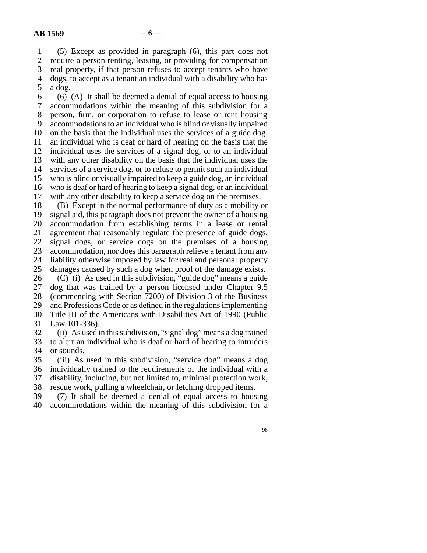line 1 (5) Except as provided in paragraph (6), this part does not 2 require a person renting, leasing, or providing for compensation 3 real property, if that person refuses to accept tenants who have 4 dogs, to accept as a tenant an individual with a disability who has  $5$  a dog.

 $\delta$  (6) (A) It shall be deemed a denial of equal access to housing 7 accommodations within the meaning of this subdivision for a 8 person, firm, or corporation to refuse to lease or rent housing 9 accommodations to an individual who is blind or visually impaired 10 on the basis that the individual uses the services of a guide dog, 11 an individual who is deaf or hard of hearing on the basis that the 12 individual uses the services of a signal dog, or to an individual 13 with any other disability on the basis that the individual uses the 14 services of a service dog, or to refuse to permit such an individual 15 who is blind or visually impaired to keep a guide dog, an individual 16 who is deaf or hard of hearing to keep a signal dog, or an individual 17 with any other disability to keep a service dog on the premises.

18 (B) Except in the normal performance of duty as a mobility or 19 signal aid, this paragraph does not prevent the owner of a housing 20 accommodation from establishing terms in a lease or rental 21 agreement that reasonably regulate the presence of guide dogs, 22 signal dogs, or service dogs on the premises of a housing 23 accommodation, nor does this paragraph relieve a tenant from any

24 liability otherwise imposed by law for real and personal property<br>25 damages caused by such a dog when proof of the damage exists.

damages caused by such a dog when proof of the damage exists.

26 (C) (i) As used in this subdivision, "guide dog" means a guide<br>27 dog that was trained by a person licensed under Chapter 9.5 dog that was trained by a person licensed under Chapter 9.5 28 (commencing with Section 7200) of Division 3 of the Business 29 and Professions Code or as defined in the regulations implementing 30 Title III of the Americans with Disabilities Act of 1990 (Public 31 Law 101-336).

32 (ii) As used in this subdivision, "signal dog" means a dog trained 33 to alert an individual who is deaf or hard of hearing to intruders 34 or sounds.

35 (iii) As used in this subdivision, "service dog" means a dog 36 individually trained to the requirements of the individual with a 37 disability, including, but not limited to, minimal protection work, 38 rescue work, pulling a wheelchair, or fetching dropped items.

39 (7) It shall be deemed a denial of equal access to housing 40 accommodations within the meaning of this subdivision for a